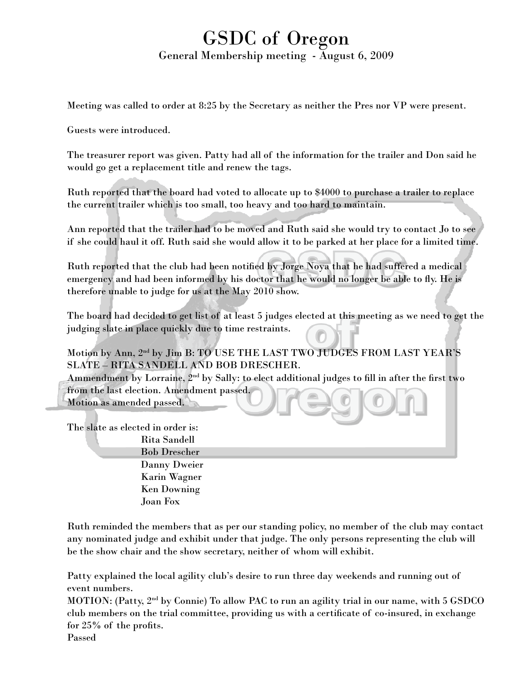## GSDC of Oregon General Membership meeting - August 6, 2009

Meeting was called to order at 8:25 by the Secretary as neither the Pres nor VP were present.

Guests were introduced.

The treasurer report was given. Patty had all of the information for the trailer and Don said he would go get a replacement title and renew the tags.

Ruth reported that the board had voted to allocate up to \$4000 to purchase a trailer to replace the current trailer which is too small, too heavy and too hard to maintain.

Ann reported that the trailer had to be moved and Ruth said she would try to contact Jo to see if she could haul it off. Ruth said she would allow it to be parked at her place for a limited time.

Ruth reported that the club had been notified by Jorge Noya that he had suffered a medical emergency and had been informed by his doctor that he would no longer be able to fly. He is therefore unable to judge for us at the May 2010 show.

The board had decided to get list of at least 5 judges elected at this meeting as we need to get the judging slate in place quickly due to time restraints.

Motion by Ann, 2nd by Jim B: TO USE THE LAST TWO JUDGES FROM LAST YEAR'S SLATE – RITA SANDELL AND BOB DRESCHER.

Ammendment by Lorraine,  $2^{nd}$  by Sally: to elect additional judges to fill in after the first two from the last election. Amendment passed. Motion as amended passed.

The slate as elected in order is: Rita Sandell Bob Drescher Danny Dweier Karin Wagner Ken Downing Joan Fox

Ruth reminded the members that as per our standing policy, no member of the club may contact any nominated judge and exhibit under that judge. The only persons representing the club will be the show chair and the show secretary, neither of whom will exhibit.

Patty explained the local agility club's desire to run three day weekends and running out of event numbers.

MOTION: (Patty, 2nd by Connie) To allow PAC to run an agility trial in our name, with 5 GSDCO club members on the trial committee, providing us with a certificate of co-insured, in exchange for 25% of the profits.

Passed